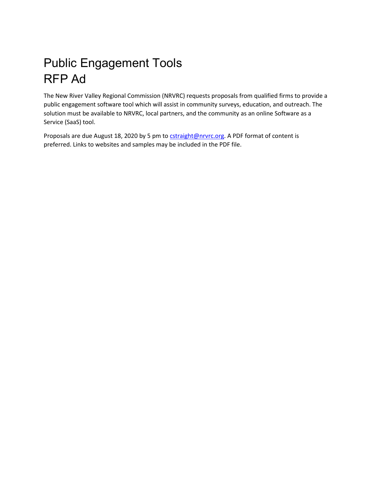## Public Engagement Tools RFP Ad

The New River Valley Regional Commission (NRVRC) requests proposals from qualified firms to provide a public engagement software tool which will assist in community surveys, education, and outreach. The solution must be available to NRVRC, local partners, and the community as an online Software as a Service (SaaS) tool.

Proposals are due August 18, 2020 by 5 pm t[o cstraight@nrvrc.org.](mailto:cstraight@nrvrc.org) A PDF format of content is preferred. Links to websites and samples may be included in the PDF file.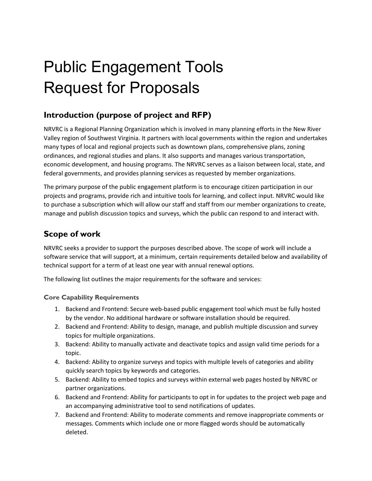# Public Engagement Tools Request for Proposals

## **Introduction (purpose of project and RFP)**

NRVRC is a Regional Planning Organization which is involved in many planning efforts in the New River Valley region of Southwest Virginia. It partners with local governments within the region and undertakes many types of local and regional projects such as downtown plans, comprehensive plans, zoning ordinances, and regional studies and plans. It also supports and manages various transportation, economic development, and housing programs. The NRVRC serves as a liaison between local, state, and federal governments, and provides planning services as requested by member organizations.

The primary purpose of the public engagement platform is to encourage citizen participation in our projects and programs, provide rich and intuitive tools for learning, and collect input. NRVRC would like to purchase a subscription which will allow our staff and staff from our member organizations to create, manage and publish discussion topics and surveys, which the public can respond to and interact with.

## **Scope of work**

NRVRC seeks a provider to support the purposes described above. The scope of work will include a software service that will support, at a minimum, certain requirements detailed below and availability of technical support for a term of at least one year with annual renewal options.

The following list outlines the major requirements for the software and services:

#### **Core Capability Requirements**

- 1. Backend and Frontend: Secure web-based public engagement tool which must be fully hosted by the vendor. No additional hardware or software installation should be required.
- 2. Backend and Frontend: Ability to design, manage, and publish multiple discussion and survey topics for multiple organizations.
- 3. Backend: Ability to manually activate and deactivate topics and assign valid time periods for a topic.
- 4. Backend: Ability to organize surveys and topics with multiple levels of categories and ability quickly search topics by keywords and categories.
- 5. Backend: Ability to embed topics and surveys within external web pages hosted by NRVRC or partner organizations.
- 6. Backend and Frontend: Ability for participants to opt in for updates to the project web page and an accompanying administrative tool to send notifications of updates.
- 7. Backend and Frontend: Ability to moderate comments and remove inappropriate comments or messages. Comments which include one or more flagged words should be automatically deleted.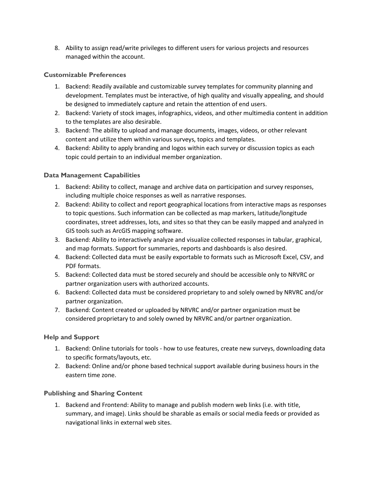8. Ability to assign read/write privileges to different users for various projects and resources managed within the account.

#### **Customizable Preferences**

- 1. Backend: Readily available and customizable survey templates for community planning and development. Templates must be interactive, of high quality and visually appealing, and should be designed to immediately capture and retain the attention of end users.
- 2. Backend: Variety of stock images, infographics, videos, and other multimedia content in addition to the templates are also desirable.
- 3. Backend: The ability to upload and manage documents, images, videos, or other relevant content and utilize them within various surveys, topics and templates.
- 4. Backend: Ability to apply branding and logos within each survey or discussion topics as each topic could pertain to an individual member organization.

#### **Data Management Capabilities**

- 1. Backend: Ability to collect, manage and archive data on participation and survey responses, including multiple choice responses as well as narrative responses.
- 2. Backend: Ability to collect and report geographical locations from interactive maps as responses to topic questions. Such information can be collected as map markers, latitude/longitude coordinates, street addresses, lots, and sites so that they can be easily mapped and analyzed in GIS tools such as ArcGIS mapping software.
- 3. Backend: Ability to interactively analyze and visualize collected responses in tabular, graphical, and map formats. Support for summaries, reports and dashboards is also desired.
- 4. Backend: Collected data must be easily exportable to formats such as Microsoft Excel, CSV, and PDF formats.
- 5. Backend: Collected data must be stored securely and should be accessible only to NRVRC or partner organization users with authorized accounts.
- 6. Backend: Collected data must be considered proprietary to and solely owned by NRVRC and/or partner organization.
- 7. Backend: Content created or uploaded by NRVRC and/or partner organization must be considered proprietary to and solely owned by NRVRC and/or partner organization.

#### **Help and Support**

- 1. Backend: Online tutorials for tools how to use features, create new surveys, downloading data to specific formats/layouts, etc.
- 2. Backend: Online and/or phone based technical support available during business hours in the eastern time zone.

#### **Publishing and Sharing Content**

1. Backend and Frontend: Ability to manage and publish modern web links (i.e. with title, summary, and image). Links should be sharable as emails or social media feeds or provided as navigational links in external web sites.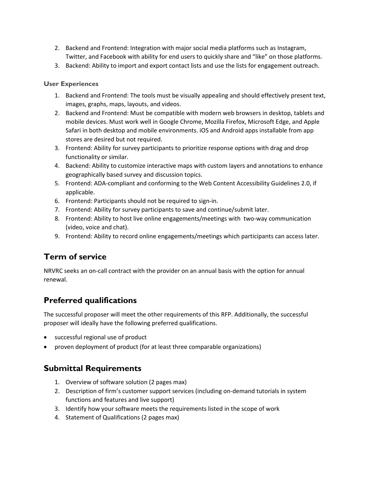- 2. Backend and Frontend: Integration with major social media platforms such as Instagram, Twitter, and Facebook with ability for end users to quickly share and "like" on those platforms.
- 3. Backend: Ability to import and export contact lists and use the lists for engagement outreach.

#### **User Experiences**

- 1. Backend and Frontend: The tools must be visually appealing and should effectively present text, images, graphs, maps, layouts, and videos.
- 2. Backend and Frontend: Must be compatible with modern web browsers in desktop, tablets and mobile devices. Must work well in Google Chrome, Mozilla Firefox, Microsoft Edge, and Apple Safari in both desktop and mobile environments. iOS and Android apps installable from app stores are desired but not required.
- 3. Frontend: Ability for survey participants to prioritize response options with drag and drop functionality or similar.
- 4. Backend: Ability to customize interactive maps with custom layers and annotations to enhance geographically based survey and discussion topics.
- 5. Frontend: ADA-compliant and conforming to the Web Content Accessibility Guidelines 2.0, if applicable.
- 6. Frontend: Participants should not be required to sign-in.
- 7. Frontend: Ability for survey participants to save and continue/submit later.
- 8. Frontend: Ability to host live online engagements/meetings with two-way communication (video, voice and chat).
- 9. Frontend: Ability to record online engagements/meetings which participants can access later.

## **Term of service**

NRVRC seeks an on-call contract with the provider on an annual basis with the option for annual renewal.

## **Preferred qualifications**

The successful proposer will meet the other requirements of this RFP. Additionally, the successful proposer will ideally have the following preferred qualifications.

- successful regional use of product
- proven deployment of product (for at least three comparable organizations)

## **Submittal Requirements**

- 1. Overview of software solution (2 pages max)
- 2. Description of firm's customer support services (including on-demand tutorials in system functions and features and live support)
- 3. Identify how your software meets the requirements listed in the scope of work
- 4. Statement of Qualifications (2 pages max)